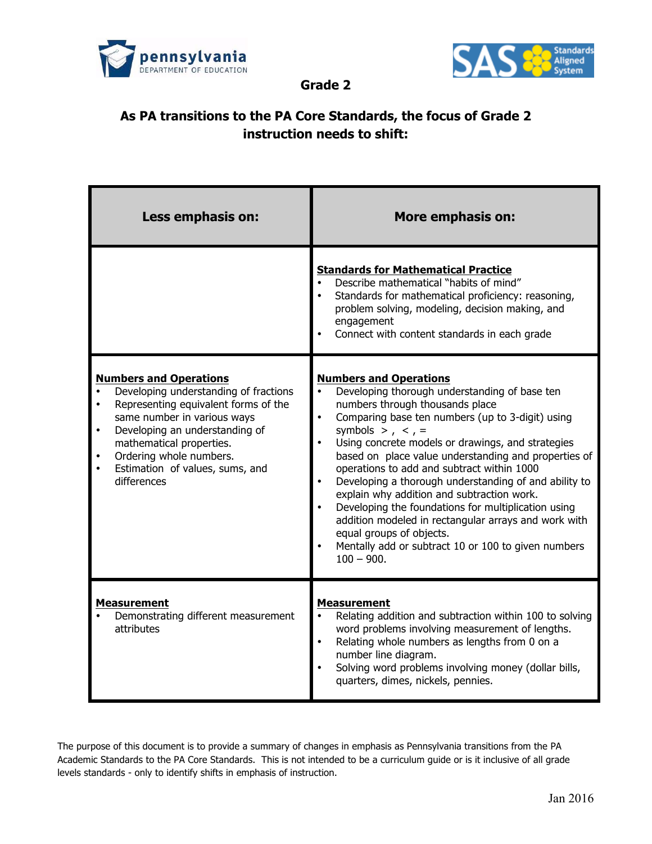



**Grade 2**

## **As PA transitions to the PA Core Standards, the focus of Grade 2 instruction needs to shift:**

| Less emphasis on:                                                                                                                                                                                                                                                                                                  | <b>More emphasis on:</b>                                                                                                                                                                                                                                                                                                                                                                                                                                                                                                                                                                                                                                                                                                                                      |
|--------------------------------------------------------------------------------------------------------------------------------------------------------------------------------------------------------------------------------------------------------------------------------------------------------------------|---------------------------------------------------------------------------------------------------------------------------------------------------------------------------------------------------------------------------------------------------------------------------------------------------------------------------------------------------------------------------------------------------------------------------------------------------------------------------------------------------------------------------------------------------------------------------------------------------------------------------------------------------------------------------------------------------------------------------------------------------------------|
|                                                                                                                                                                                                                                                                                                                    | <b>Standards for Mathematical Practice</b><br>Describe mathematical "habits of mind"<br>Standards for mathematical proficiency: reasoning,<br>problem solving, modeling, decision making, and<br>engagement<br>Connect with content standards in each grade                                                                                                                                                                                                                                                                                                                                                                                                                                                                                                   |
| <b>Numbers and Operations</b><br>Developing understanding of fractions<br>Representing equivalent forms of the<br>$\bullet$<br>same number in various ways<br>Developing an understanding of<br>$\bullet$<br>mathematical properties.<br>Ordering whole numbers.<br>Estimation of values, sums, and<br>differences | <b>Numbers and Operations</b><br>Developing thorough understanding of base ten<br>$\bullet$<br>numbers through thousands place<br>$\bullet$<br>Comparing base ten numbers (up to 3-digit) using<br>symbols > $, <, =$<br>$\bullet$<br>Using concrete models or drawings, and strategies<br>based on place value understanding and properties of<br>operations to add and subtract within 1000<br>$\bullet$<br>Developing a thorough understanding of and ability to<br>explain why addition and subtraction work.<br>$\bullet$<br>Developing the foundations for multiplication using<br>addition modeled in rectangular arrays and work with<br>equal groups of objects.<br>$\bullet$<br>Mentally add or subtract 10 or 100 to given numbers<br>$100 - 900.$ |
| <b>Measurement</b><br>Demonstrating different measurement<br>attributes                                                                                                                                                                                                                                            | <b>Measurement</b><br>Relating addition and subtraction within 100 to solving<br>$\bullet$<br>word problems involving measurement of lengths.<br>$\bullet$<br>Relating whole numbers as lengths from 0 on a<br>number line diagram.<br>$\bullet$<br>Solving word problems involving money (dollar bills,<br>quarters, dimes, nickels, pennies.                                                                                                                                                                                                                                                                                                                                                                                                                |

The purpose of this document is to provide a summary of changes in emphasis as Pennsylvania transitions from the PA Academic Standards to the PA Core Standards. This is not intended to be a curriculum guide or is it inclusive of all grade levels standards - only to identify shifts in emphasis of instruction.